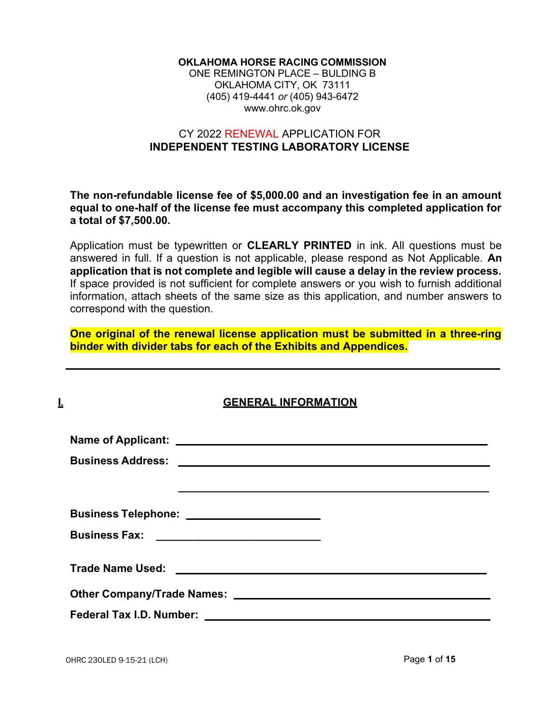#### OKLAHOMA HORSE RACING COMMISSION

ONE REMINGTON PLACE – BULDING B OKLAHOMA CITY, OK 73111 (405) 419-4441 or (405) 943-6472 www.ohrc.ok.gov

#### CY 2022 RENEWAL APPLICATION FOR INDEPENDENT TESTING LABORATORY LICENSE

The non-refundable license fee of \$5,000.00 and an investigation fee in an amount equal to one-half of the license fee must accompany this completed application for a total of \$7,500.00.

Application must be typewritten or CLEARLY PRINTED in ink. All questions must be answered in full. If a question is not applicable, please respond as Not Applicable. An application that is not complete and legible will cause a delay in the review process. If space provided is not sufficient for complete answers or you wish to furnish additional information, attach sheets of the same size as this application, and number answers to correspond with the question.

One original of the renewal license application must be submitted in a three-ring binder with divider tabs for each of the Exhibits and Appendices.

| I. | <b>GENERAL INFORMATION</b> |
|----|----------------------------|
|    |                            |
|    |                            |
|    |                            |
|    |                            |
|    |                            |
|    |                            |
|    |                            |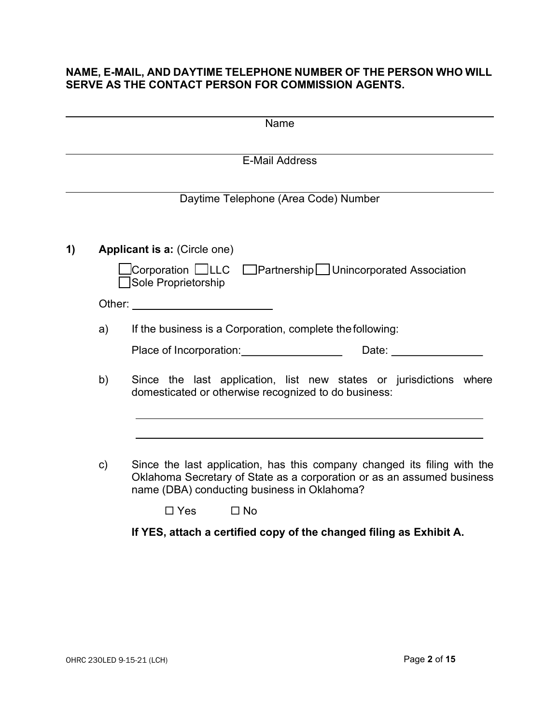#### NAME, E-MAIL, AND DAYTIME TELEPHONE NUMBER OF THE PERSON WHO WILL SERVE AS THE CONTACT PERSON FOR COMMISSION AGENTS.

|    |               | Name                                                                                                                                                                                                                           |
|----|---------------|--------------------------------------------------------------------------------------------------------------------------------------------------------------------------------------------------------------------------------|
|    |               | <b>E-Mail Address</b>                                                                                                                                                                                                          |
|    |               | Daytime Telephone (Area Code) Number                                                                                                                                                                                           |
| 1) |               | Applicant is a: (Circle one)                                                                                                                                                                                                   |
|    |               | Corporation □LLC □Partnership□Unincorporated Association<br>Sole Proprietorship                                                                                                                                                |
|    |               | Other: ___________________________                                                                                                                                                                                             |
|    | a)            | If the business is a Corporation, complete the following:                                                                                                                                                                      |
|    |               | Date: the contract of the contract of the contract of the contract of the contract of the contract of the contract of the contract of the contract of the contract of the contract of the contract of the contract of the cont |
| b) |               | Since the last application, list new states or jurisdictions where<br>domesticated or otherwise recognized to do business:                                                                                                     |
|    |               |                                                                                                                                                                                                                                |
|    | $\mathsf{c})$ | Since the last application, has this company changed its filing with the<br>Oklahoma Secretary of State as a corporation or as an assumed business<br>name (DBA) conducting business in Oklahoma?                              |
|    |               | $\square$ No<br>$\Box$ Yes                                                                                                                                                                                                     |
|    |               | If YES, attach a certified copy of the changed filing as Exhibit A.                                                                                                                                                            |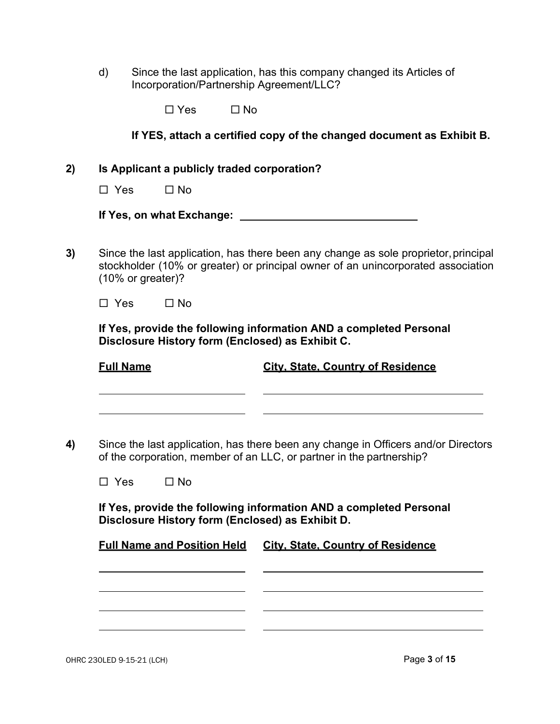d) Since the last application, has this company changed its Articles of Incorporation/Partnership Agreement/LLC?

 $\Box$  Yes  $\Box$  No

|                   |                                                  | If YES, attach a certified copy of the changed document as Exhibit B.                                                                                                   |
|-------------------|--------------------------------------------------|-------------------------------------------------------------------------------------------------------------------------------------------------------------------------|
|                   | Is Applicant a publicly traded corporation?      |                                                                                                                                                                         |
| $\Box$ Yes        | $\Box$ No                                        |                                                                                                                                                                         |
|                   |                                                  |                                                                                                                                                                         |
| (10% or greater)? |                                                  | Since the last application, has there been any change as sole proprietor, principal<br>stockholder (10% or greater) or principal owner of an unincorporated association |
| $\Box$ Yes        | $\square$ No                                     |                                                                                                                                                                         |
| <b>Full Name</b>  | Disclosure History form (Enclosed) as Exhibit C. | If Yes, provide the following information AND a completed Personal<br><b>City, State, Country of Residence</b>                                                          |
|                   |                                                  | Since the last application, has there been any change in Officers and/or Directors<br>of the corporation, member of an LLC, or partner in the partnership?              |
|                   |                                                  |                                                                                                                                                                         |
| $\Box$ Yes        | $\Box$ No                                        |                                                                                                                                                                         |
|                   | Disclosure History form (Enclosed) as Exhibit D. | If Yes, provide the following information AND a completed Personal                                                                                                      |
|                   | <b>Full Name and Position Held</b>               | <b>City, State, Country of Residence</b>                                                                                                                                |

 $\overline{\phantom{a}}$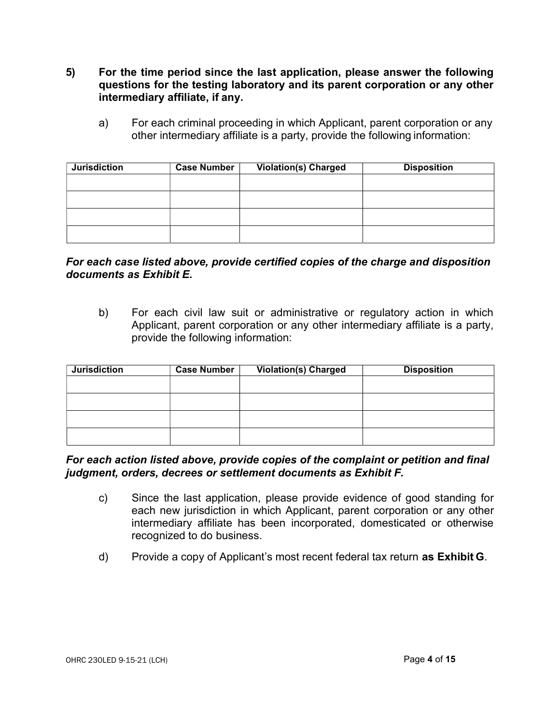- 5) For the time period since the last application, please answer the following questions for the testing laboratory and its parent corporation or any other intermediary affiliate, if any.
	- a) For each criminal proceeding in which Applicant, parent corporation or any other intermediary affiliate is a party, provide the following information:

| <b>Jurisdiction</b> | <b>Case Number</b> | <b>Violation(s) Charged</b> | <b>Disposition</b> |
|---------------------|--------------------|-----------------------------|--------------------|
|                     |                    |                             |                    |
|                     |                    |                             |                    |
|                     |                    |                             |                    |
|                     |                    |                             |                    |
|                     |                    |                             |                    |

#### For each case listed above, provide certified copies of the charge and disposition documents as Exhibit E.

b) For each civil law suit or administrative or regulatory action in which Applicant, parent corporation or any other intermediary affiliate is a party, provide the following information:

| <b>Jurisdiction</b> | Case Number | <b>Violation(s) Charged</b> | <b>Disposition</b> |
|---------------------|-------------|-----------------------------|--------------------|
|                     |             |                             |                    |
|                     |             |                             |                    |
|                     |             |                             |                    |
|                     |             |                             |                    |
|                     |             |                             |                    |

### For each action listed above, provide copies of the complaint or petition and final judgment, orders, decrees or settlement documents as Exhibit F.

- c) Since the last application, please provide evidence of good standing for each new jurisdiction in which Applicant, parent corporation or any other intermediary affiliate has been incorporated, domesticated or otherwise recognized to do business.
- d) Provide a copy of Applicant's most recent federal tax return as Exhibit G.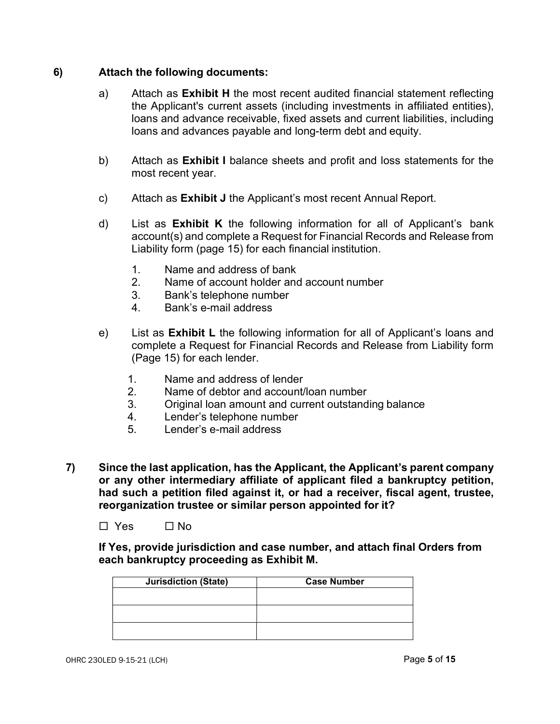#### 6) Attach the following documents:

- a) Attach as **Exhibit H** the most recent audited financial statement reflecting the Applicant's current assets (including investments in affiliated entities), loans and advance receivable, fixed assets and current liabilities, including loans and advances payable and long-term debt and equity.
- b) Attach as Exhibit I balance sheets and profit and loss statements for the most recent year.
- c) Attach as Exhibit J the Applicant's most recent Annual Report.
- d) List as **Exhibit K** the following information for all of Applicant's bank account(s) and complete a Request for Financial Records and Release from Liability form (page 15) for each financial institution.
	- 1. Name and address of bank
	- 2. Name of account holder and account number
	- 3. Bank's telephone number
	- 4. Bank's e-mail address
- e) List as **Exhibit L** the following information for all of Applicant's loans and complete a Request for Financial Records and Release from Liability form (Page 15) for each lender.
	- 1. Name and address of lender
	- 2. Name of debtor and account/loan number
	- 3. Original loan amount and current outstanding balance
	- 4. Lender's telephone number
	- 5. Lender's e-mail address
- 7) Since the last application, has the Applicant, the Applicant's parent company or any other intermediary affiliate of applicant filed a bankruptcy petition, had such a petition filed against it, or had a receiver, fiscal agent, trustee, reorganization trustee or similar person appointed for it?

 $\Box$  Yes  $\Box$  No

If Yes, provide jurisdiction and case number, and attach final Orders from each bankruptcy proceeding as Exhibit M.

| <b>Jurisdiction (State)</b> | <b>Case Number</b> |  |
|-----------------------------|--------------------|--|
|                             |                    |  |
|                             |                    |  |
|                             |                    |  |
|                             |                    |  |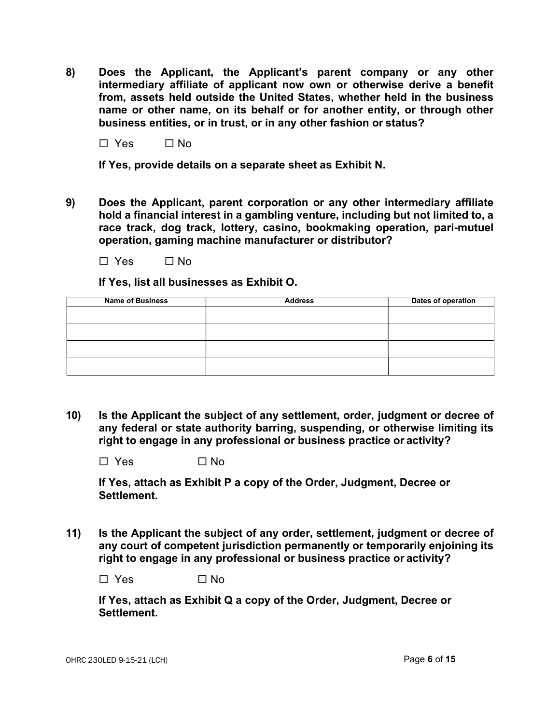8) Does the Applicant, the Applicant's parent company or any other intermediary affiliate of applicant now own or otherwise derive a benefit from, assets held outside the United States, whether held in the business name or other name, on its behalf or for another entity, or through other business entities, or in trust, or in any other fashion or status?

 $\Box$  Yes  $\Box$  No.

If Yes, provide details on a separate sheet as Exhibit N.

- 9) Does the Applicant, parent corporation or any other intermediary affiliate hold a financial interest in a gambling venture, including but not limited to, a race track, dog track, lottery, casino, bookmaking operation, pari-mutuel operation, gaming machine manufacturer or distributor?
	- $\Box$  Yes  $\Box$  No

If Yes, list all businesses as Exhibit O.

| <b>Name of Business</b> | <b>Address</b> | Dates of operation |
|-------------------------|----------------|--------------------|
|                         |                |                    |
|                         |                |                    |
|                         |                |                    |
|                         |                |                    |

10) Is the Applicant the subject of any settlement, order, judgment or decree of any federal or state authority barring, suspending, or otherwise limiting its right to engage in any professional or business practice or activity?

 $\Box$  Yes  $\Box$  No

If Yes, attach as Exhibit P a copy of the Order, Judgment, Decree or Settlement.

11) Is the Applicant the subject of any order, settlement, judgment or decree of any court of competent jurisdiction permanently or temporarily enjoining its right to engage in any professional or business practice or activity?

 $\square$  Yes  $\square$  No

If Yes, attach as Exhibit Q a copy of the Order, Judgment, Decree or Settlement.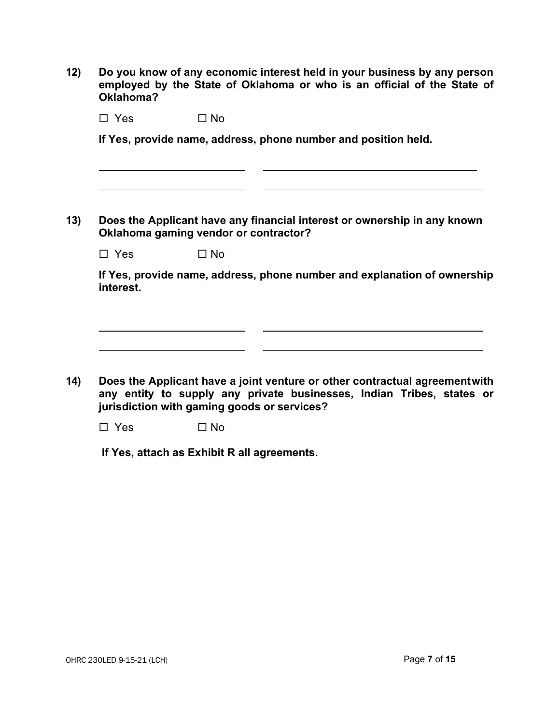12) Do you know of any economic interest held in your business by any person employed by the State of Oklahoma or who is an official of the State of Oklahoma?

 $\Box$  Yes  $\Box$  No

If Yes, provide name, address, phone number and position held.

13) Does the Applicant have any financial interest or ownership in any known Oklahoma gaming vendor or contractor?

 $\Box$  Yes  $\Box$  No.

If Yes, provide name, address, phone number and explanation of ownership interest.

14) Does the Applicant have a joint venture or other contractual agreement with any entity to supply any private businesses, Indian Tribes, states or jurisdiction with gaming goods or services?

 $\overline{\phantom{a}}$ 

 $\square$  Yes  $\square$  No

If Yes, attach as Exhibit R all agreements.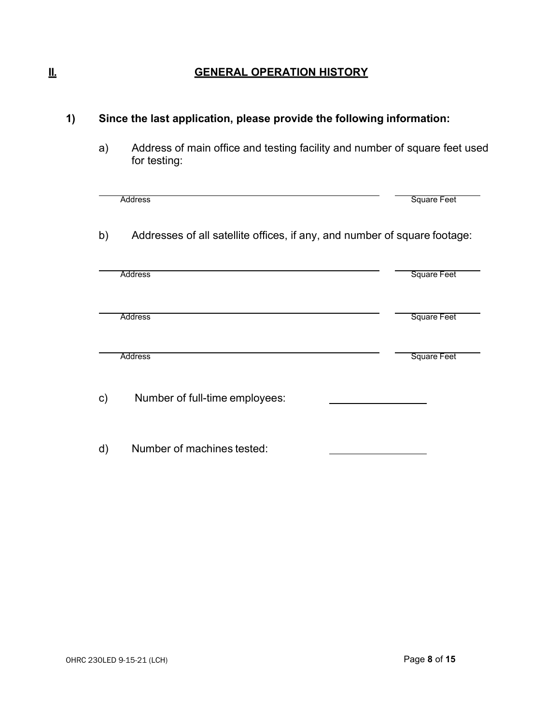## II. GENERAL OPERATION HISTORY

# 1) Since the last application, please provide the following information:

a) Address of main office and testing facility and number of square feet used for testing:

|    | <b>Address</b>                                                            | <b>Square Feet</b> |
|----|---------------------------------------------------------------------------|--------------------|
| b) | Addresses of all satellite offices, if any, and number of square footage: |                    |
|    | <b>Address</b>                                                            | <b>Square Feet</b> |
|    |                                                                           |                    |
|    |                                                                           |                    |
|    | <b>Address</b>                                                            | <b>Square Feet</b> |
|    |                                                                           |                    |
|    | <b>Address</b>                                                            | <b>Square Feet</b> |
| c) | Number of full-time employees:                                            |                    |
| d) | Number of machines tested:                                                |                    |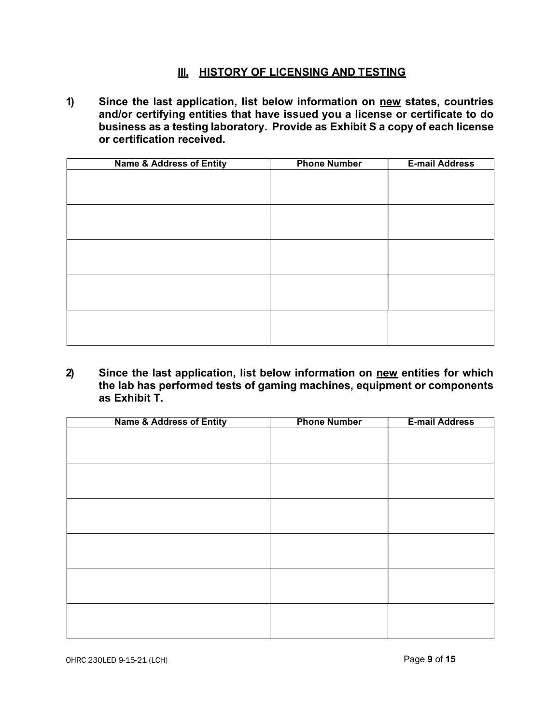### **III. HISTORY OF LICENSING AND TESTING**

1) Since the last application, list below information on new states, countries and/or certifying entities that have issued you a license or certificate to do business as a testing laboratory. Provide as Exhibit S a copy of each license or certification received.

| <b>Name &amp; Address of Entity</b> | <b>Phone Number</b> | <b>E-mail Address</b> |
|-------------------------------------|---------------------|-----------------------|
|                                     |                     |                       |
|                                     |                     |                       |
|                                     |                     |                       |
|                                     |                     |                       |
|                                     |                     |                       |
|                                     |                     |                       |
|                                     |                     |                       |
|                                     |                     |                       |
|                                     |                     |                       |
|                                     |                     |                       |
|                                     |                     |                       |
|                                     |                     |                       |
|                                     |                     |                       |
|                                     |                     |                       |
|                                     |                     |                       |

2) Since the last application, list below information on new entities for which the lab has performed tests of gaming machines, equipment or components as Exhibit T.

| <b>Name &amp; Address of Entity</b> | <b>Phone Number</b> | <b>E-mail Address</b> |
|-------------------------------------|---------------------|-----------------------|
|                                     |                     |                       |
|                                     |                     |                       |
|                                     |                     |                       |
|                                     |                     |                       |
|                                     |                     |                       |
|                                     |                     |                       |
|                                     |                     |                       |
|                                     |                     |                       |
|                                     |                     |                       |
|                                     |                     |                       |
|                                     |                     |                       |
|                                     |                     |                       |
|                                     |                     |                       |
|                                     |                     |                       |
|                                     |                     |                       |
|                                     |                     |                       |
|                                     |                     |                       |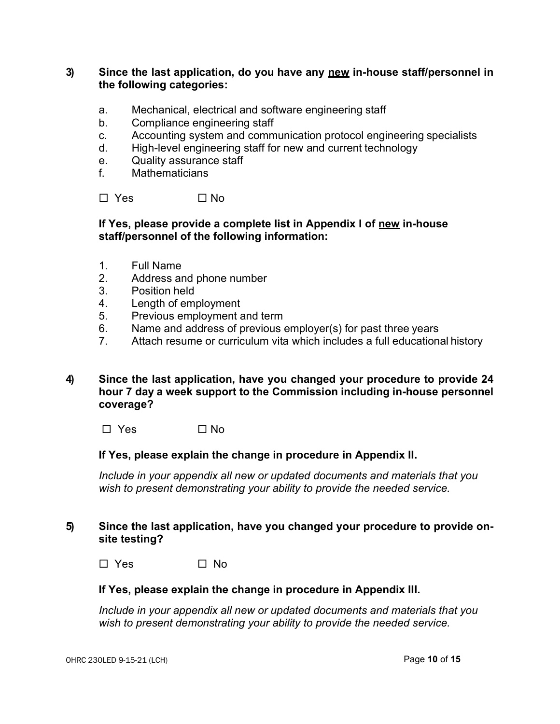#### 3) Since the last application, do you have any new in-house staff/personnel in the following categories:

- a. Mechanical, electrical and software engineering staff
- b. Compliance engineering staff
- c. Accounting system and communication protocol engineering specialists
- d. High-level engineering staff for new and current technology
- e. Quality assurance staff
- f. Mathematicians

 $\Box$  Yes  $\Box$  No.

#### If Yes, please provide a complete list in Appendix I of new in-house staff/personnel of the following information:

- 1. Full Name
- 2. Address and phone number
- 3. Position held
- 4. Length of employment
- 5. Previous employment and term
- 6. Name and address of previous employer(s) for past three years
- 7. Attach resume or curriculum vita which includes a full educational history
- 4) Since the last application, have you changed your procedure to provide 24 hour 7 day a week support to the Commission including in-house personnel coverage?

 $\square$  Yes  $\square$  No

#### If Yes, please explain the change in procedure in Appendix II.

Include in your appendix all new or updated documents and materials that you wish to present demonstrating your ability to provide the needed service.

#### 5) Since the last application, have you changed your procedure to provide onsite testing?

 $\Box$  Yes  $\Box$  No.

#### If Yes, please explain the change in procedure in Appendix III.

Include in your appendix all new or updated documents and materials that you wish to present demonstrating your ability to provide the needed service.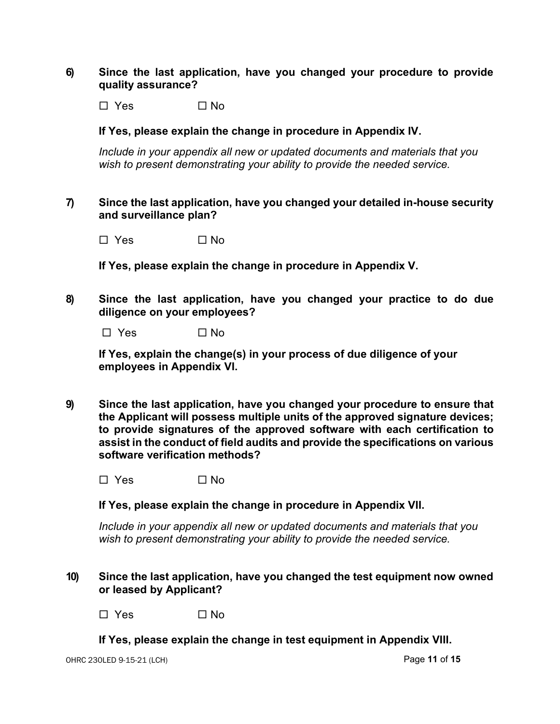#### 6) Since the last application, have you changed your procedure to provide quality assurance?

 $\square$  Yes  $\square$  No

#### If Yes, please explain the change in procedure in Appendix IV.

Include in your appendix all new or updated documents and materials that you wish to present demonstrating your ability to provide the needed service.

#### 7) Since the last application, have you changed your detailed in-house security and surveillance plan?

 $\Box$  Yes  $\Box$  No

If Yes, please explain the change in procedure in Appendix V.

8) Since the last application, have you changed your practice to do due diligence on your employees?

 $\square$  Yes  $\square$  No

If Yes, explain the change(s) in your process of due diligence of your employees in Appendix VI.

9) Since the last application, have you changed your procedure to ensure that the Applicant will possess multiple units of the approved signature devices; to provide signatures of the approved software with each certification to assist in the conduct of field audits and provide the specifications on various software verification methods?

 $\square$  Yes  $\square$  No

If Yes, please explain the change in procedure in Appendix VII.

Include in your appendix all new or updated documents and materials that you wish to present demonstrating your ability to provide the needed service.

10) Since the last application, have you changed the test equipment now owned or leased by Applicant?

 $\square$  Yes  $\square$  No

#### If Yes, please explain the change in test equipment in Appendix VIII.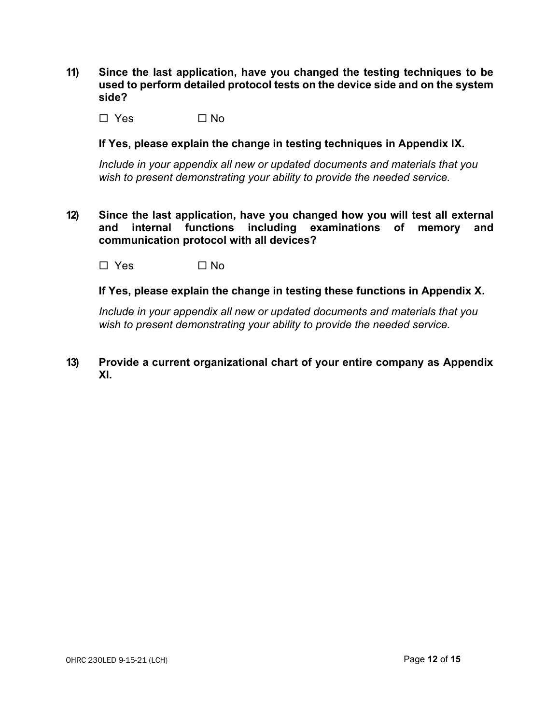11) Since the last application, have you changed the testing techniques to be used to perform detailed protocol tests on the device side and on the system side?

 $\Box$  Yes  $\Box$  No

If Yes, please explain the change in testing techniques in Appendix IX.

Include in your appendix all new or updated documents and materials that you wish to present demonstrating your ability to provide the needed service.

12) Since the last application, have you changed how you will test all external and internal functions including examinations of memory and communication protocol with all devices?

 $\Box$  Yes  $\Box$  No

If Yes, please explain the change in testing these functions in Appendix X.

Include in your appendix all new or updated documents and materials that you wish to present demonstrating your ability to provide the needed service.

13) Provide a current organizational chart of your entire company as Appendix XI.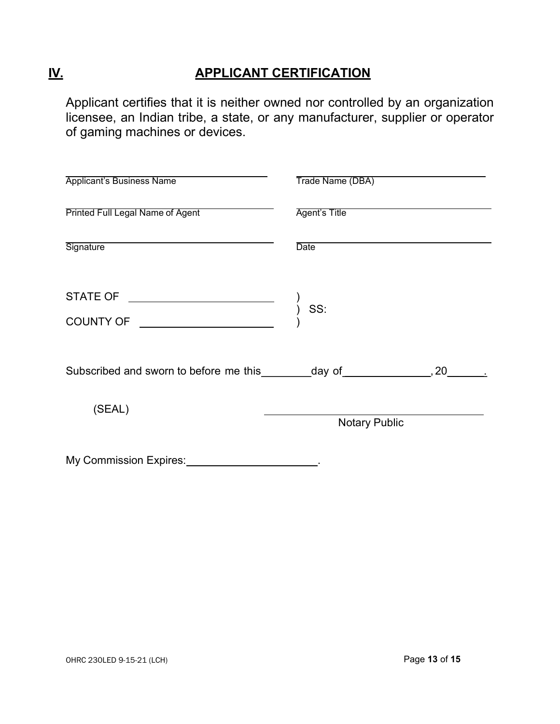# IV. APPLICANT CERTIFICATION

Applicant certifies that it is neither owned nor controlled by an organization licensee, an Indian tribe, a state, or any manufacturer, supplier or operator of gaming machines or devices.

| <b>Applicant's Business Name</b>                                                | Trade Name (DBA)     |  |
|---------------------------------------------------------------------------------|----------------------|--|
| Printed Full Legal Name of Agent                                                | Agent's Title        |  |
| Signature <b>Signature</b>                                                      | Date                 |  |
|                                                                                 |                      |  |
| Subscribed and sworn to before me this _________day of _________________, 20___ |                      |  |
| (SEAL)                                                                          | <b>Notary Public</b> |  |
| My Commission Expires:                                                          |                      |  |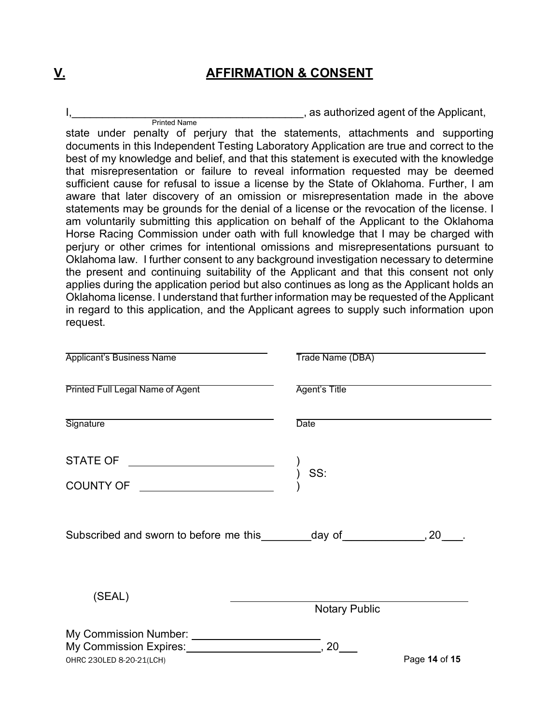# V. AFFIRMATION & CONSENT

I, the contract of the Applicant,  $\alpha$  as authorized agent of the Applicant, Printed Name

state under penalty of perjury that the statements, attachments and supporting documents in this Independent Testing Laboratory Application are true and correct to the best of my knowledge and belief, and that this statement is executed with the knowledge that misrepresentation or failure to reveal information requested may be deemed sufficient cause for refusal to issue a license by the State of Oklahoma. Further, I am aware that later discovery of an omission or misrepresentation made in the above statements may be grounds for the denial of a license or the revocation of the license. I am voluntarily submitting this application on behalf of the Applicant to the Oklahoma Horse Racing Commission under oath with full knowledge that I may be charged with perjury or other crimes for intentional omissions and misrepresentations pursuant to Oklahoma law. I further consent to any background investigation necessary to determine the present and continuing suitability of the Applicant and that this consent not only applies during the application period but also continues as long as the Applicant holds an Oklahoma license. I understand that further information may be requested of the Applicant in regard to this application, and the Applicant agrees to supply such information upon request.

| <b>Applicant's Business Name</b>                                            | Trade Name (DBA)     |               |
|-----------------------------------------------------------------------------|----------------------|---------------|
| <b>Printed Full Legal Name of Agent</b>                                     | Agent's Title        |               |
| Signature                                                                   | <b>Date</b>          |               |
|                                                                             |                      |               |
|                                                                             |                      |               |
| Subscribed and sworn to before me this _________ day of _______________, 20 |                      |               |
| (SEAL)                                                                      | <b>Notary Public</b> |               |
| OHRC 230LED 8-20-21(LCH)                                                    | 20                   | Page 14 of 15 |